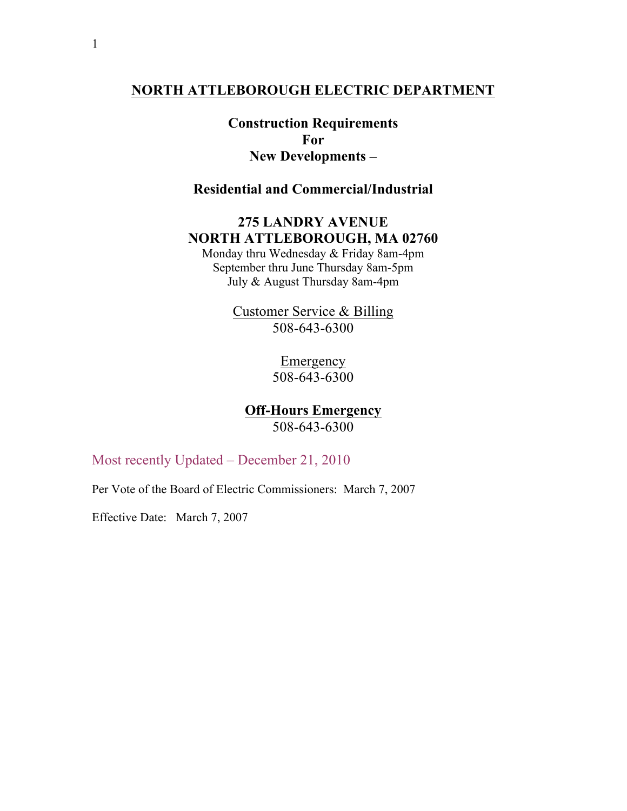## **NORTH ATTLEBOROUGH ELECTRIC DEPARTMENT**

**Construction Requirements For New Developments –**

**Residential and Commercial/Industrial**

# **275 LANDRY AVENUE NORTH ATTLEBOROUGH, MA 02760**

Monday thru Wednesday & Friday 8am-4pm September thru June Thursday 8am-5pm July & August Thursday 8am-4pm

> Customer Service & Billing 508-643-6300

> > Emergency 508-643-6300

**Off-Hours Emergency** 508-643-6300

Most recently Updated – December 21, 2010

Per Vote of the Board of Electric Commissioners: March 7, 2007

Effective Date: March 7, 2007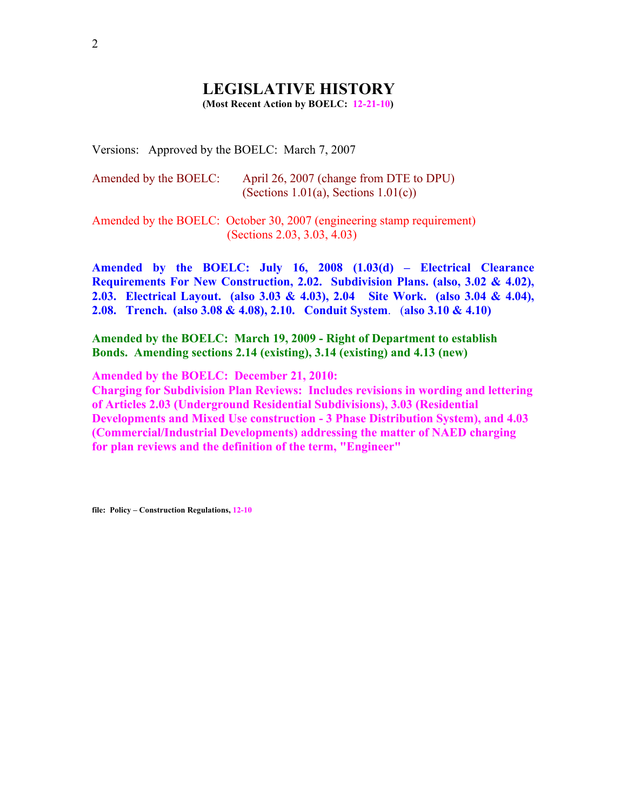#### **LEGISLATIVE HISTORY (Most Recent Action by BOELC: 12-21-10)**

Versions: Approved by the BOELC: March 7, 2007

| Amended by the BOELC: | April 26, 2007 (change from DTE to DPU) |
|-----------------------|-----------------------------------------|
|                       | (Sections 1.01(a), Sections $1.01(c)$ ) |

Amended by the BOELC: October 30, 2007 (engineering stamp requirement) (Sections 2.03, 3.03, 4.03)

**Amended by the BOELC: July 16, 2008 (1.03(d) – Electrical Clearance Requirements For New Construction, 2.02. Subdivision Plans. (also, 3.02 & 4.02), 2.03. Electrical Layout. (also 3.03 & 4.03), 2.04 Site Work. (also 3.04 & 4.04), 2.08. Trench. (also 3.08 & 4.08), 2.10. Conduit System**. (**also 3.10 & 4.10)**

**Amended by the BOELC: March 19, 2009 - Right of Department to establish Bonds. Amending sections 2.14 (existing), 3.14 (existing) and 4.13 (new)** 

**Amended by the BOELC: December 21, 2010:**

**Charging for Subdivision Plan Reviews: Includes revisions in wording and lettering of Articles 2.03 (Underground Residential Subdivisions), 3.03 (Residential Developments and Mixed Use construction - 3 Phase Distribution System), and 4.03 (Commercial/Industrial Developments) addressing the matter of NAED charging for plan reviews and the definition of the term, "Engineer"** 

**file: Policy – Construction Regulations, 12-10**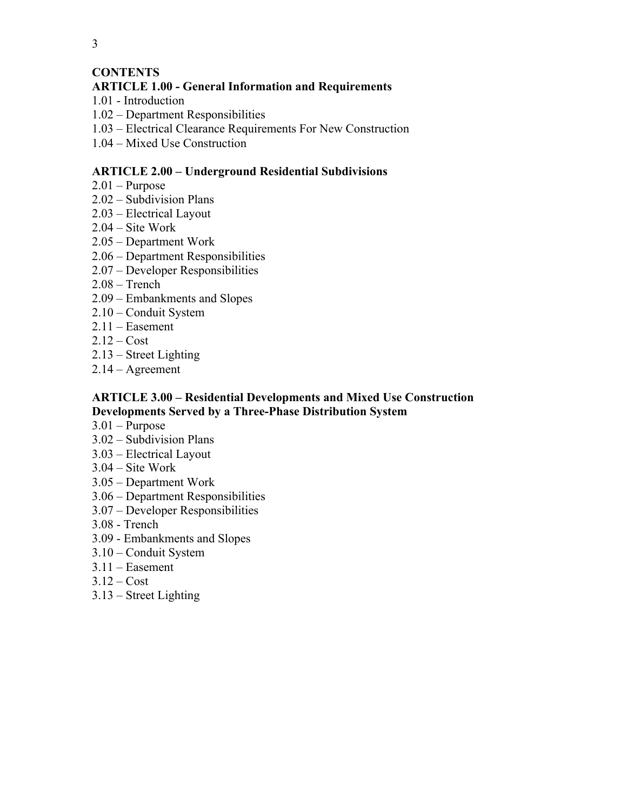## **CONTENTS**

## **ARTICLE 1.00 - General Information and Requirements**

- 1.01 Introduction
- 1.02 Department Responsibilities
- 1.03 Electrical Clearance Requirements For New Construction
- 1.04 Mixed Use Construction

### **ARTICLE 2.00 – Underground Residential Subdivisions**

- $2.01$  Purpose
- 2.02 Subdivision Plans
- 2.03 Electrical Layout
- 2.04 Site Work
- 2.05 Department Work
- 2.06 Department Responsibilities
- 2.07 Developer Responsibilities
- 2.08 Trench
- 2.09 Embankments and Slopes
- 2.10 Conduit System
- 2.11 Easement
- $2.12 Cost$
- 2.13 Street Lighting
- 2.14 Agreement

#### **ARTICLE 3.00 – Residential Developments and Mixed Use Construction Developments Served by a Three-Phase Distribution System**

- 3.01 Purpose
- 3.02 Subdivision Plans
- 3.03 Electrical Layout
- 3.04 Site Work
- 3.05 Department Work
- 3.06 Department Responsibilities
- 3.07 Developer Responsibilities
- 3.08 Trench
- 3.09 Embankments and Slopes
- 3.10 Conduit System
- 3.11 Easement
- $3.12 Cost$
- 3.13 Street Lighting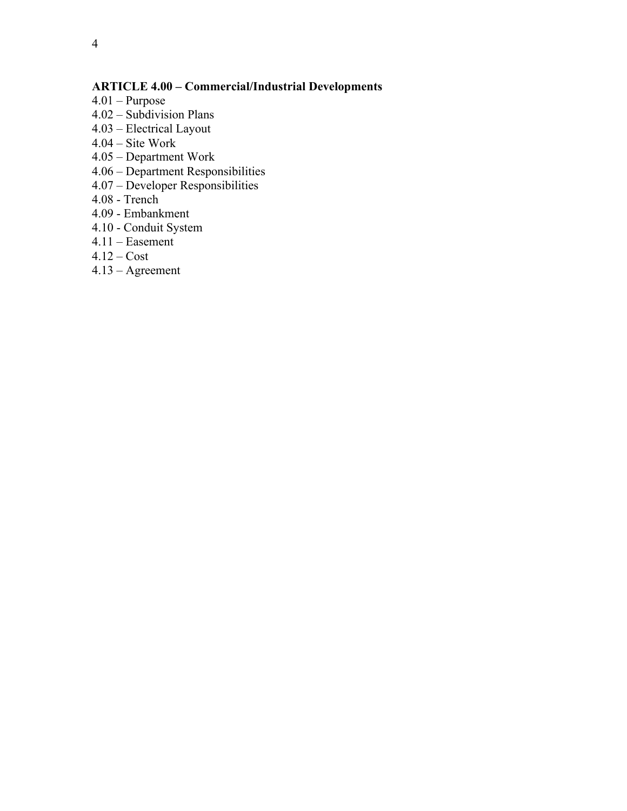## **ARTICLE 4.00 – Commercial/Industrial Developments**

- 4.01 Purpose
- 4.02 Subdivision Plans
- 4.03 Electrical Layout
- 4.04 Site Work
- 4.05 Department Work
- 4.06 Department Responsibilities
- 4.07 Developer Responsibilities
- 4.08 Trench
- 4.09 Embankment
- 4.10 Conduit System
- 4.11 Easement
- $4.12 Cost$
- 4.13 Agreement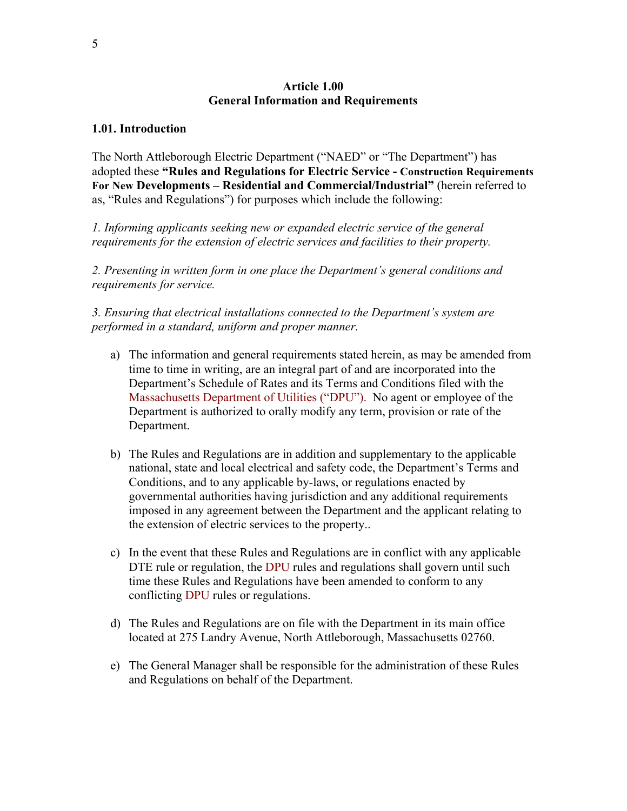#### **Article 1.00 General Information and Requirements**

#### **1.01. Introduction**

The North Attleborough Electric Department ("NAED" or "The Department") has adopted these **"Rules and Regulations for Electric Service - Construction Requirements For New Developments – Residential and Commercial/Industrial"** (herein referred to as, "Rules and Regulations") for purposes which include the following:

*1. Informing applicants seeking new or expanded electric service of the general requirements for the extension of electric services and facilities to their property.*

*2. Presenting in written form in one place the Department's general conditions and requirements for service.*

*3. Ensuring that electrical installations connected to the Department's system are performed in a standard, uniform and proper manner.* 

- a) The information and general requirements stated herein, as may be amended from time to time in writing, are an integral part of and are incorporated into the Department's Schedule of Rates and its Terms and Conditions filed with the Massachusetts Department of Utilities ("DPU"). No agent or employee of the Department is authorized to orally modify any term, provision or rate of the Department.
- b) The Rules and Regulations are in addition and supplementary to the applicable national, state and local electrical and safety code, the Department's Terms and Conditions, and to any applicable by-laws, or regulations enacted by governmental authorities having jurisdiction and any additional requirements imposed in any agreement between the Department and the applicant relating to the extension of electric services to the property..
- c) In the event that these Rules and Regulations are in conflict with any applicable DTE rule or regulation, the DPU rules and regulations shall govern until such time these Rules and Regulations have been amended to conform to any conflicting DPU rules or regulations.
- d) The Rules and Regulations are on file with the Department in its main office located at 275 Landry Avenue, North Attleborough, Massachusetts 02760.
- e) The General Manager shall be responsible for the administration of these Rules and Regulations on behalf of the Department.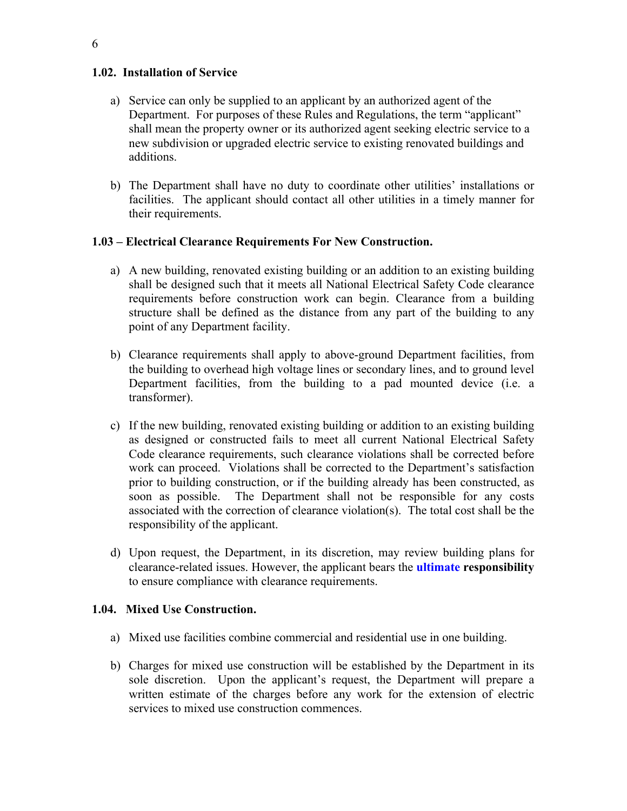#### **1.02. Installation of Service**

- a) Service can only be supplied to an applicant by an authorized agent of the Department. For purposes of these Rules and Regulations, the term "applicant" shall mean the property owner or its authorized agent seeking electric service to a new subdivision or upgraded electric service to existing renovated buildings and additions.
- b) The Department shall have no duty to coordinate other utilities' installations or facilities. The applicant should contact all other utilities in a timely manner for their requirements.

#### **1.03 – Electrical Clearance Requirements For New Construction.**

- a) A new building, renovated existing building or an addition to an existing building shall be designed such that it meets all National Electrical Safety Code clearance requirements before construction work can begin. Clearance from a building structure shall be defined as the distance from any part of the building to any point of any Department facility.
- b) Clearance requirements shall apply to above-ground Department facilities, from the building to overhead high voltage lines or secondary lines, and to ground level Department facilities, from the building to a pad mounted device (i.e. a transformer).
- c) If the new building, renovated existing building or addition to an existing building as designed or constructed fails to meet all current National Electrical Safety Code clearance requirements, such clearance violations shall be corrected before work can proceed. Violations shall be corrected to the Department's satisfaction prior to building construction, or if the building already has been constructed, as soon as possible. The Department shall not be responsible for any costs associated with the correction of clearance violation(s). The total cost shall be the responsibility of the applicant.
- d) Upon request, the Department, in its discretion, may review building plans for clearance-related issues. However, the applicant bears the **ultimate responsibility** to ensure compliance with clearance requirements.

## **1.04. Mixed Use Construction.**

- a) Mixed use facilities combine commercial and residential use in one building.
- b) Charges for mixed use construction will be established by the Department in its sole discretion. Upon the applicant's request, the Department will prepare a written estimate of the charges before any work for the extension of electric services to mixed use construction commences.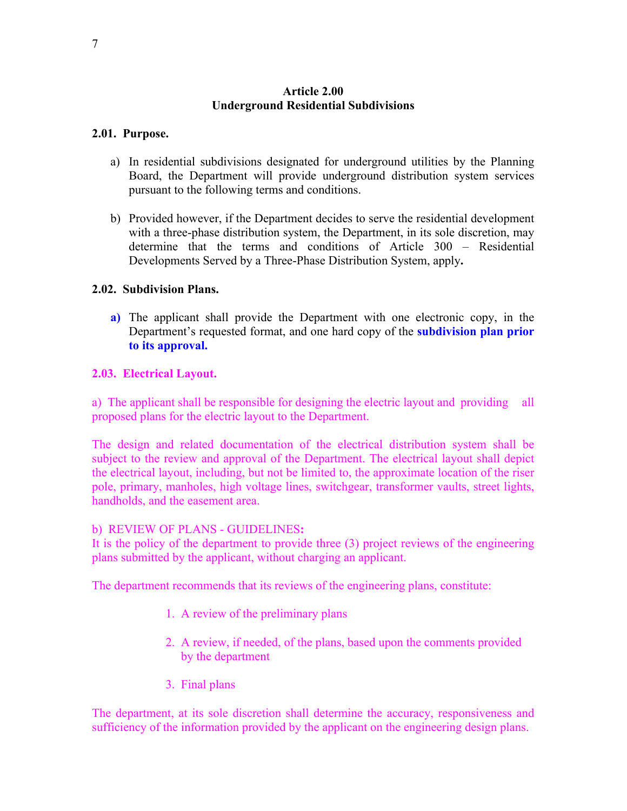#### **Article 2.00 Underground Residential Subdivisions**

#### **2.01. Purpose.**

- a) In residential subdivisions designated for underground utilities by the Planning Board, the Department will provide underground distribution system services pursuant to the following terms and conditions.
- b) Provided however, if the Department decides to serve the residential development with a three-phase distribution system, the Department, in its sole discretion, may determine that the terms and conditions of Article 300 – Residential Developments Served by a Three-Phase Distribution System, apply**.**

#### **2.02. Subdivision Plans.**

**a)** The applicant shall provide the Department with one electronic copy, in the Department's requested format, and one hard copy of the **subdivision plan prior to its approval.**

#### **2.03. Electrical Layout.**

a) The applicant shall be responsible for designing the electric layout and providing all proposed plans for the electric layout to the Department.

The design and related documentation of the electrical distribution system shall be subject to the review and approval of the Department. The electrical layout shall depict the electrical layout, including, but not be limited to, the approximate location of the riser pole, primary, manholes, high voltage lines, switchgear, transformer vaults, street lights, handholds, and the easement area.

#### b) REVIEW OF PLANS - GUIDELINES**:**

It is the policy of the department to provide three (3) project reviews of the engineering plans submitted by the applicant, without charging an applicant.

The department recommends that its reviews of the engineering plans, constitute:

- 1. A review of the preliminary plans
- 2. A review, if needed, of the plans, based upon the comments provided by the department
- 3. Final plans

The department, at its sole discretion shall determine the accuracy, responsiveness and sufficiency of the information provided by the applicant on the engineering design plans.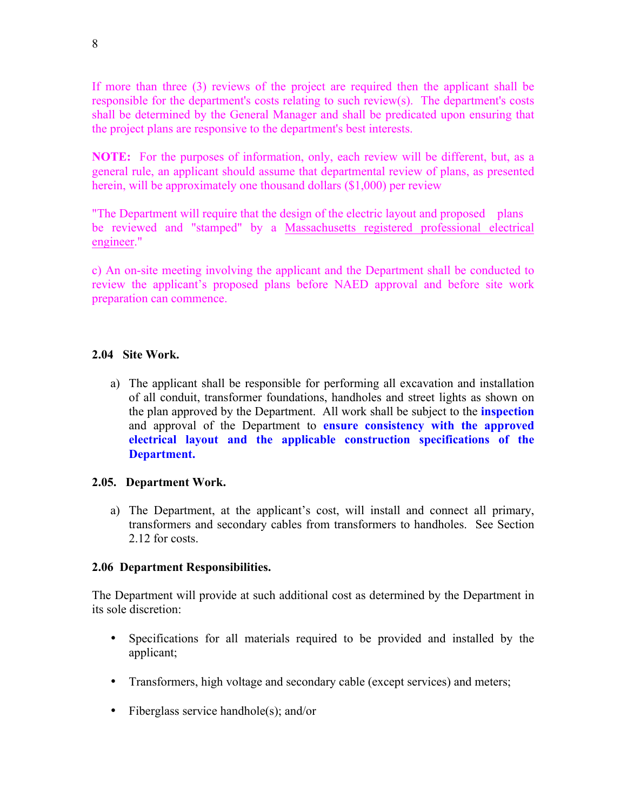If more than three (3) reviews of the project are required then the applicant shall be responsible for the department's costs relating to such review(s). The department's costs shall be determined by the General Manager and shall be predicated upon ensuring that the project plans are responsive to the department's best interests.

**NOTE:** For the purposes of information, only, each review will be different, but, as a general rule, an applicant should assume that departmental review of plans, as presented herein, will be approximately one thousand dollars (\$1,000) per review

"The Department will require that the design of the electric layout and proposed plans be reviewed and "stamped" by a Massachusetts registered professional electrical engineer."

c) An on-site meeting involving the applicant and the Department shall be conducted to review the applicant's proposed plans before NAED approval and before site work preparation can commence.

## **2.04 Site Work.**

a) The applicant shall be responsible for performing all excavation and installation of all conduit, transformer foundations, handholes and street lights as shown on the plan approved by the Department. All work shall be subject to the **inspection**  and approval of the Department to **ensure consistency with the approved electrical layout and the applicable construction specifications of the Department.** 

#### **2.05. Department Work.**

a) The Department, at the applicant's cost, will install and connect all primary, transformers and secondary cables from transformers to handholes. See Section 2.12 for costs.

#### **2.06 Department Responsibilities.**

The Department will provide at such additional cost as determined by the Department in its sole discretion:

- Specifications for all materials required to be provided and installed by the applicant;
- Transformers, high voltage and secondary cable (except services) and meters;
- Fiberglass service handhole(s); and/or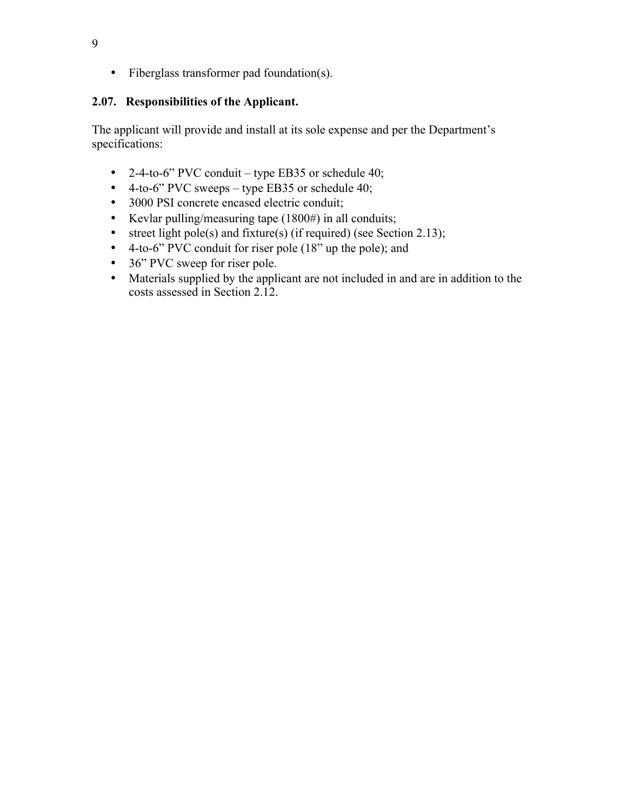• Fiberglass transformer pad foundation(s).

## **2.07. Responsibilities of the Applicant.**

The applicant will provide and install at its sole expense and per the Department's specifications:

- 2-4-to-6" PVC conduit type EB35 or schedule 40;
- 4-to-6" PVC sweeps type EB35 or schedule 40;
- 3000 PSI concrete encased electric conduit;
- Kevlar pulling/measuring tape (1800#) in all conduits;
- street light pole(s) and fixture(s) (if required) (see Section 2.13);
- 4-to-6" PVC conduit for riser pole (18" up the pole); and
- 36" PVC sweep for riser pole.
- Materials supplied by the applicant are not included in and are in addition to the costs assessed in Section 2.12.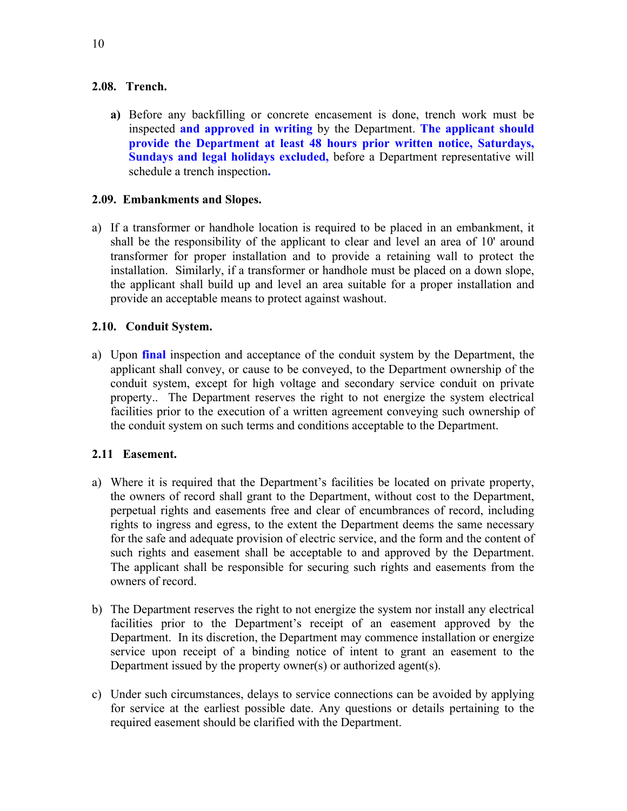#### **2.08. Trench.**

**a)** Before any backfilling or concrete encasement is done, trench work must be inspected **and approved in writing** by the Department. **The applicant should provide the Department at least 48 hours prior written notice, Saturdays, Sundays and legal holidays excluded,** before a Department representative will schedule a trench inspection**.** 

### **2.09. Embankments and Slopes.**

a) If a transformer or handhole location is required to be placed in an embankment, it shall be the responsibility of the applicant to clear and level an area of 10' around transformer for proper installation and to provide a retaining wall to protect the installation. Similarly, if a transformer or handhole must be placed on a down slope, the applicant shall build up and level an area suitable for a proper installation and provide an acceptable means to protect against washout.

## **2.10. Conduit System.**

a) Upon **final** inspection and acceptance of the conduit system by the Department, the applicant shall convey, or cause to be conveyed, to the Department ownership of the conduit system, except for high voltage and secondary service conduit on private property.. The Department reserves the right to not energize the system electrical facilities prior to the execution of a written agreement conveying such ownership of the conduit system on such terms and conditions acceptable to the Department.

## **2.11 Easement.**

- a) Where it is required that the Department's facilities be located on private property, the owners of record shall grant to the Department, without cost to the Department, perpetual rights and easements free and clear of encumbrances of record, including rights to ingress and egress, to the extent the Department deems the same necessary for the safe and adequate provision of electric service, and the form and the content of such rights and easement shall be acceptable to and approved by the Department. The applicant shall be responsible for securing such rights and easements from the owners of record.
- b) The Department reserves the right to not energize the system nor install any electrical facilities prior to the Department's receipt of an easement approved by the Department. In its discretion, the Department may commence installation or energize service upon receipt of a binding notice of intent to grant an easement to the Department issued by the property owner(s) or authorized agent(s).
- c) Under such circumstances, delays to service connections can be avoided by applying for service at the earliest possible date. Any questions or details pertaining to the required easement should be clarified with the Department.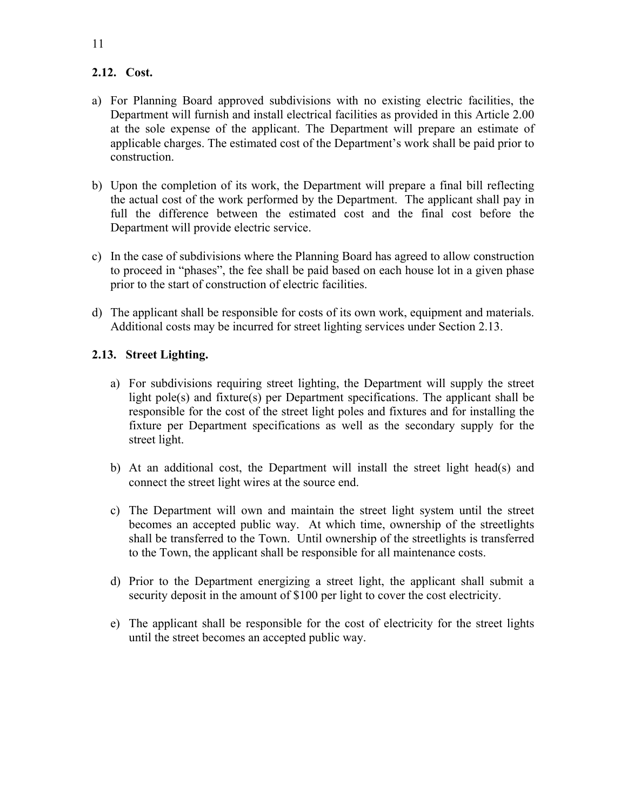## **2.12. Cost.**

- a) For Planning Board approved subdivisions with no existing electric facilities, the Department will furnish and install electrical facilities as provided in this Article 2.00 at the sole expense of the applicant. The Department will prepare an estimate of applicable charges. The estimated cost of the Department's work shall be paid prior to construction.
- b) Upon the completion of its work, the Department will prepare a final bill reflecting the actual cost of the work performed by the Department. The applicant shall pay in full the difference between the estimated cost and the final cost before the Department will provide electric service.
- c) In the case of subdivisions where the Planning Board has agreed to allow construction to proceed in "phases", the fee shall be paid based on each house lot in a given phase prior to the start of construction of electric facilities.
- d) The applicant shall be responsible for costs of its own work, equipment and materials. Additional costs may be incurred for street lighting services under Section 2.13.

#### **2.13. Street Lighting.**

- a) For subdivisions requiring street lighting, the Department will supply the street light pole(s) and fixture(s) per Department specifications. The applicant shall be responsible for the cost of the street light poles and fixtures and for installing the fixture per Department specifications as well as the secondary supply for the street light.
- b) At an additional cost, the Department will install the street light head(s) and connect the street light wires at the source end.
- c) The Department will own and maintain the street light system until the street becomes an accepted public way. At which time, ownership of the streetlights shall be transferred to the Town. Until ownership of the streetlights is transferred to the Town, the applicant shall be responsible for all maintenance costs.
- d) Prior to the Department energizing a street light, the applicant shall submit a security deposit in the amount of \$100 per light to cover the cost electricity.
- e) The applicant shall be responsible for the cost of electricity for the street lights until the street becomes an accepted public way.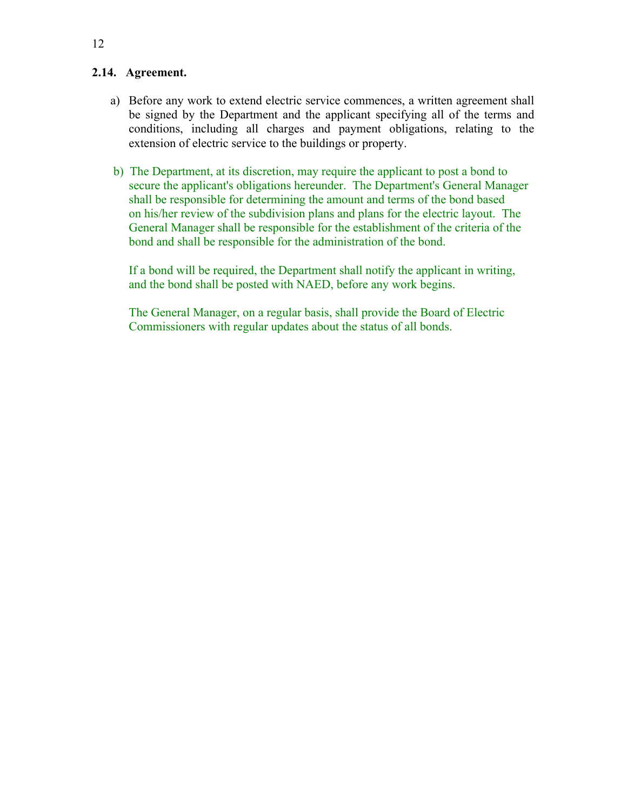#### **2.14. Agreement.**

- a) Before any work to extend electric service commences, a written agreement shall be signed by the Department and the applicant specifying all of the terms and conditions, including all charges and payment obligations, relating to the extension of electric service to the buildings or property.
- b) The Department, at its discretion, may require the applicant to post a bond to secure the applicant's obligations hereunder. The Department's General Manager shall be responsible for determining the amount and terms of the bond based on his/her review of the subdivision plans and plans for the electric layout. The General Manager shall be responsible for the establishment of the criteria of the bond and shall be responsible for the administration of the bond.

If a bond will be required, the Department shall notify the applicant in writing, and the bond shall be posted with NAED, before any work begins.

The General Manager, on a regular basis, shall provide the Board of Electric Commissioners with regular updates about the status of all bonds.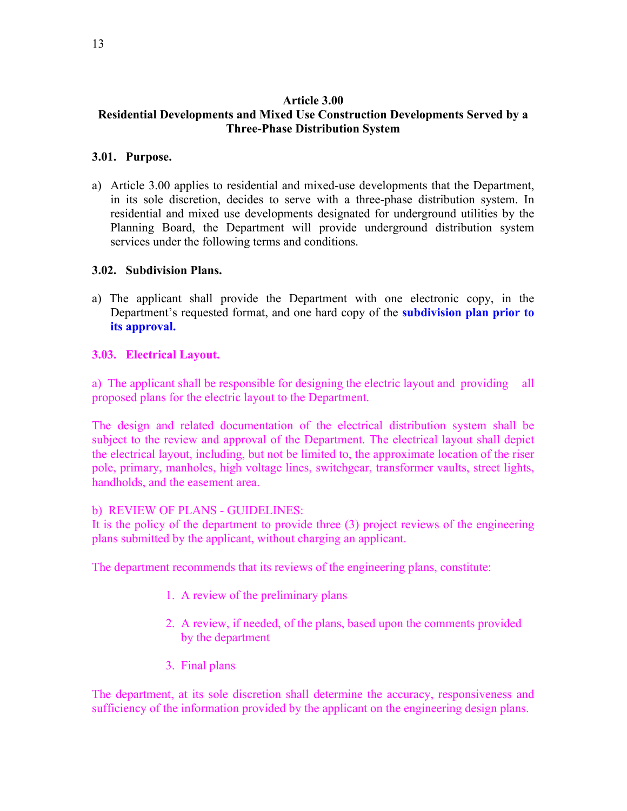### **Article 3.00 Residential Developments and Mixed Use Construction Developments Served by a Three-Phase Distribution System**

### **3.01. Purpose.**

a) Article 3.00 applies to residential and mixed-use developments that the Department, in its sole discretion, decides to serve with a three-phase distribution system. In residential and mixed use developments designated for underground utilities by the Planning Board, the Department will provide underground distribution system services under the following terms and conditions.

#### **3.02. Subdivision Plans.**

a) The applicant shall provide the Department with one electronic copy, in the Department's requested format, and one hard copy of the **subdivision plan prior to its approval.**

#### **3.03. Electrical Layout.**

a) The applicant shall be responsible for designing the electric layout and providing all proposed plans for the electric layout to the Department.

The design and related documentation of the electrical distribution system shall be subject to the review and approval of the Department. The electrical layout shall depict the electrical layout, including, but not be limited to, the approximate location of the riser pole, primary, manholes, high voltage lines, switchgear, transformer vaults, street lights, handholds, and the easement area.

#### b) REVIEW OF PLANS - GUIDELINES:

It is the policy of the department to provide three (3) project reviews of the engineering plans submitted by the applicant, without charging an applicant.

The department recommends that its reviews of the engineering plans, constitute:

- 1. A review of the preliminary plans
- 2. A review, if needed, of the plans, based upon the comments provided by the department
- 3. Final plans

The department, at its sole discretion shall determine the accuracy, responsiveness and sufficiency of the information provided by the applicant on the engineering design plans.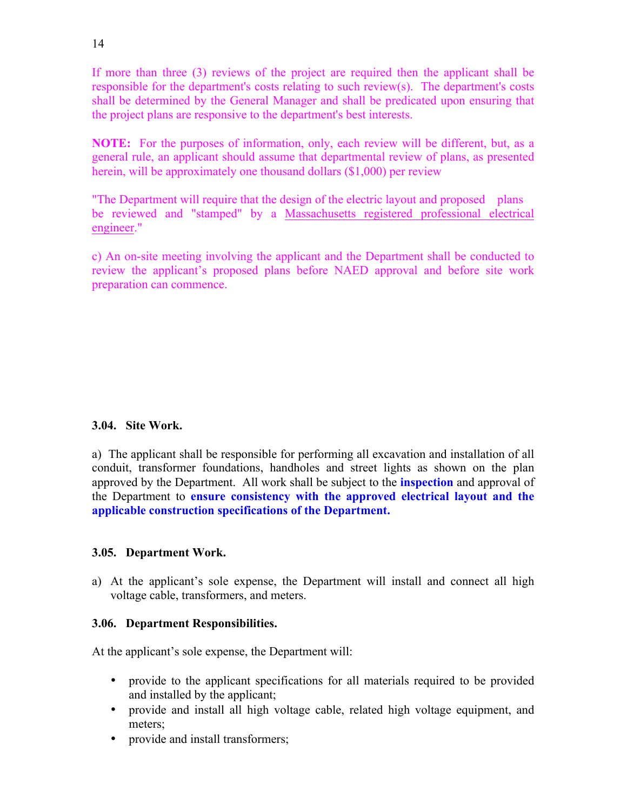If more than three (3) reviews of the project are required then the applicant shall be responsible for the department's costs relating to such review(s). The department's costs shall be determined by the General Manager and shall be predicated upon ensuring that the project plans are responsive to the department's best interests.

**NOTE:** For the purposes of information, only, each review will be different, but, as a general rule, an applicant should assume that departmental review of plans, as presented herein, will be approximately one thousand dollars (\$1,000) per review

"The Department will require that the design of the electric layout and proposed plans be reviewed and "stamped" by a Massachusetts registered professional electrical engineer."

c) An on-site meeting involving the applicant and the Department shall be conducted to review the applicant's proposed plans before NAED approval and before site work preparation can commence.

## **3.04. Site Work.**

a) The applicant shall be responsible for performing all excavation and installation of all conduit, transformer foundations, handholes and street lights as shown on the plan approved by the Department. All work shall be subject to the **inspection** and approval of the Department to **ensure consistency with the approved electrical layout and the applicable construction specifications of the Department.** 

## **3.05. Department Work.**

a) At the applicant's sole expense, the Department will install and connect all high voltage cable, transformers, and meters.

## **3.06. Department Responsibilities.**

At the applicant's sole expense, the Department will:

- provide to the applicant specifications for all materials required to be provided and installed by the applicant;
- provide and install all high voltage cable, related high voltage equipment, and meters;
- provide and install transformers;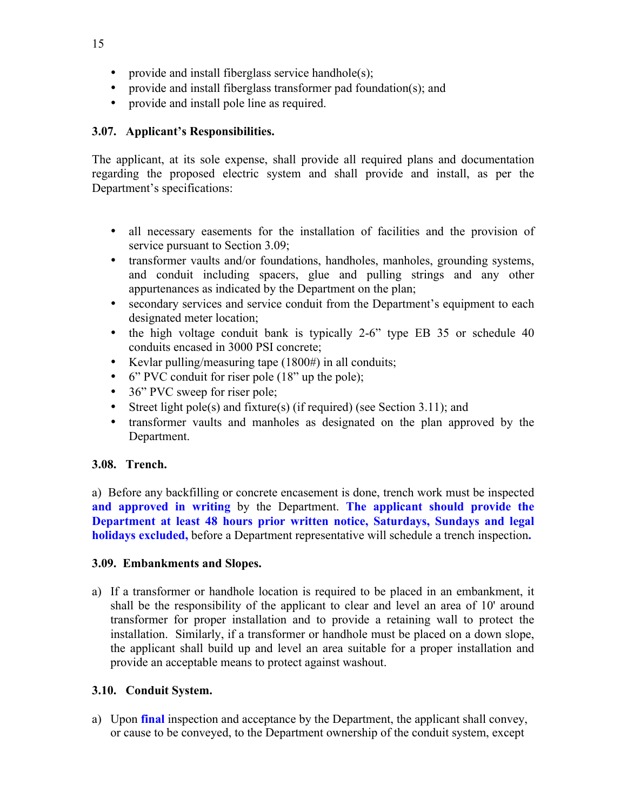- provide and install fiberglass service handhole(s);
- provide and install fiberglass transformer pad foundation(s); and
- provide and install pole line as required.

## **3.07. Applicant's Responsibilities.**

The applicant, at its sole expense, shall provide all required plans and documentation regarding the proposed electric system and shall provide and install, as per the Department's specifications:

- all necessary easements for the installation of facilities and the provision of service pursuant to Section 3.09;
- transformer vaults and/or foundations, handholes, manholes, grounding systems, and conduit including spacers, glue and pulling strings and any other appurtenances as indicated by the Department on the plan;
- secondary services and service conduit from the Department's equipment to each designated meter location;
- the high voltage conduit bank is typically 2-6" type EB 35 or schedule 40 conduits encased in 3000 PSI concrete;
- Kevlar pulling/measuring tape (1800#) in all conduits;
- 6" PVC conduit for riser pole (18" up the pole);
- 36" PVC sweep for riser pole;
- Street light pole(s) and fixture(s) (if required) (see Section 3.11); and
- transformer vaults and manholes as designated on the plan approved by the Department.

## **3.08. Trench.**

a) Before any backfilling or concrete encasement is done, trench work must be inspected **and approved in writing** by the Department. **The applicant should provide the Department at least 48 hours prior written notice, Saturdays, Sundays and legal holidays excluded,** before a Department representative will schedule a trench inspection**.** 

## **3.09. Embankments and Slopes.**

a) If a transformer or handhole location is required to be placed in an embankment, it shall be the responsibility of the applicant to clear and level an area of 10' around transformer for proper installation and to provide a retaining wall to protect the installation. Similarly, if a transformer or handhole must be placed on a down slope, the applicant shall build up and level an area suitable for a proper installation and provide an acceptable means to protect against washout.

## **3.10. Conduit System.**

a) Upon **final** inspection and acceptance by the Department, the applicant shall convey, or cause to be conveyed, to the Department ownership of the conduit system, except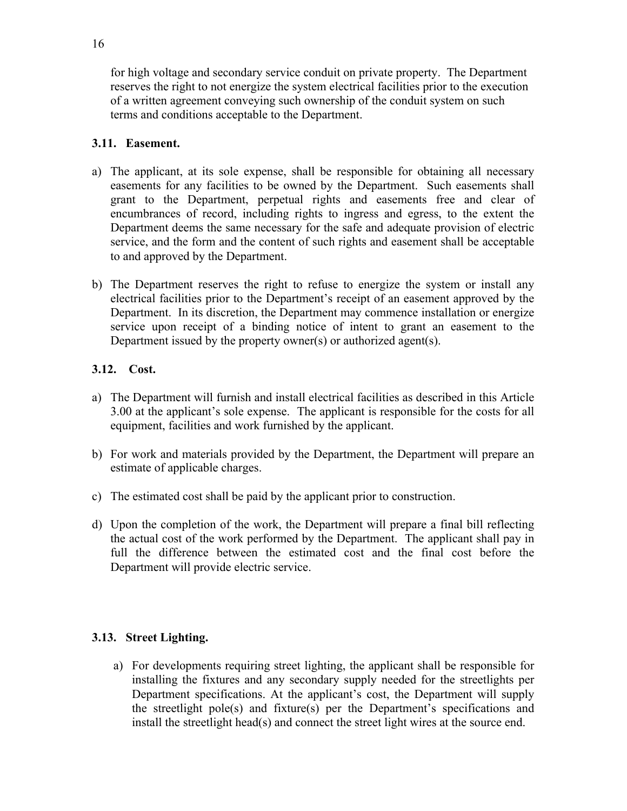for high voltage and secondary service conduit on private property. The Department reserves the right to not energize the system electrical facilities prior to the execution of a written agreement conveying such ownership of the conduit system on such terms and conditions acceptable to the Department.

## **3.11. Easement.**

- a) The applicant, at its sole expense, shall be responsible for obtaining all necessary easements for any facilities to be owned by the Department. Such easements shall grant to the Department, perpetual rights and easements free and clear of encumbrances of record, including rights to ingress and egress, to the extent the Department deems the same necessary for the safe and adequate provision of electric service, and the form and the content of such rights and easement shall be acceptable to and approved by the Department.
- b) The Department reserves the right to refuse to energize the system or install any electrical facilities prior to the Department's receipt of an easement approved by the Department. In its discretion, the Department may commence installation or energize service upon receipt of a binding notice of intent to grant an easement to the Department issued by the property owner(s) or authorized agent(s).

## **3.12. Cost.**

- a) The Department will furnish and install electrical facilities as described in this Article 3.00 at the applicant's sole expense. The applicant is responsible for the costs for all equipment, facilities and work furnished by the applicant.
- b) For work and materials provided by the Department, the Department will prepare an estimate of applicable charges.
- c) The estimated cost shall be paid by the applicant prior to construction.
- d) Upon the completion of the work, the Department will prepare a final bill reflecting the actual cost of the work performed by the Department. The applicant shall pay in full the difference between the estimated cost and the final cost before the Department will provide electric service.

## **3.13. Street Lighting.**

a) For developments requiring street lighting, the applicant shall be responsible for installing the fixtures and any secondary supply needed for the streetlights per Department specifications. At the applicant's cost, the Department will supply the streetlight pole(s) and fixture(s) per the Department's specifications and install the streetlight head(s) and connect the street light wires at the source end.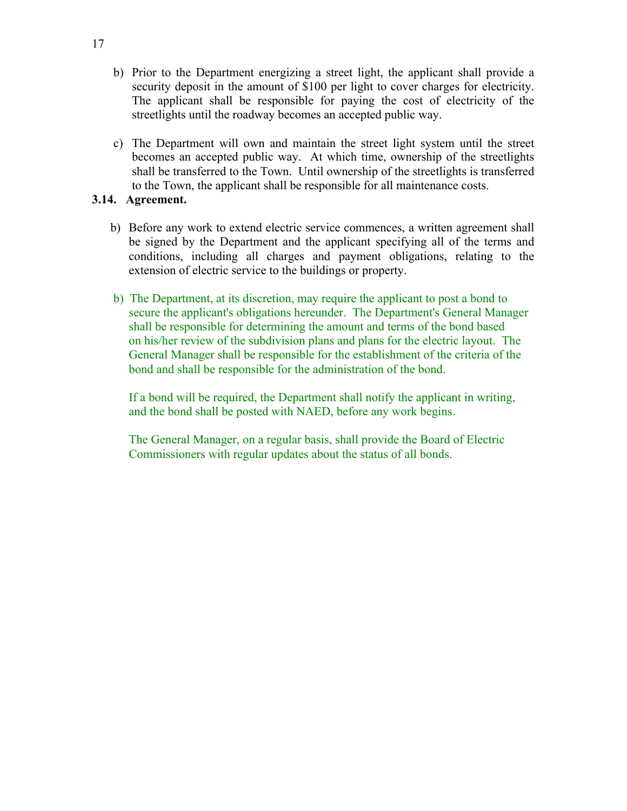- b) Prior to the Department energizing a street light, the applicant shall provide a security deposit in the amount of \$100 per light to cover charges for electricity. The applicant shall be responsible for paying the cost of electricity of the streetlights until the roadway becomes an accepted public way.
- c) The Department will own and maintain the street light system until the street becomes an accepted public way. At which time, ownership of the streetlights shall be transferred to the Town. Until ownership of the streetlights is transferred to the Town, the applicant shall be responsible for all maintenance costs.

#### **3.14. Agreement.**

- b) Before any work to extend electric service commences, a written agreement shall be signed by the Department and the applicant specifying all of the terms and conditions, including all charges and payment obligations, relating to the extension of electric service to the buildings or property.
- b) The Department, at its discretion, may require the applicant to post a bond to secure the applicant's obligations hereunder. The Department's General Manager shall be responsible for determining the amount and terms of the bond based on his/her review of the subdivision plans and plans for the electric layout. The General Manager shall be responsible for the establishment of the criteria of the bond and shall be responsible for the administration of the bond.

If a bond will be required, the Department shall notify the applicant in writing, and the bond shall be posted with NAED, before any work begins.

The General Manager, on a regular basis, shall provide the Board of Electric Commissioners with regular updates about the status of all bonds.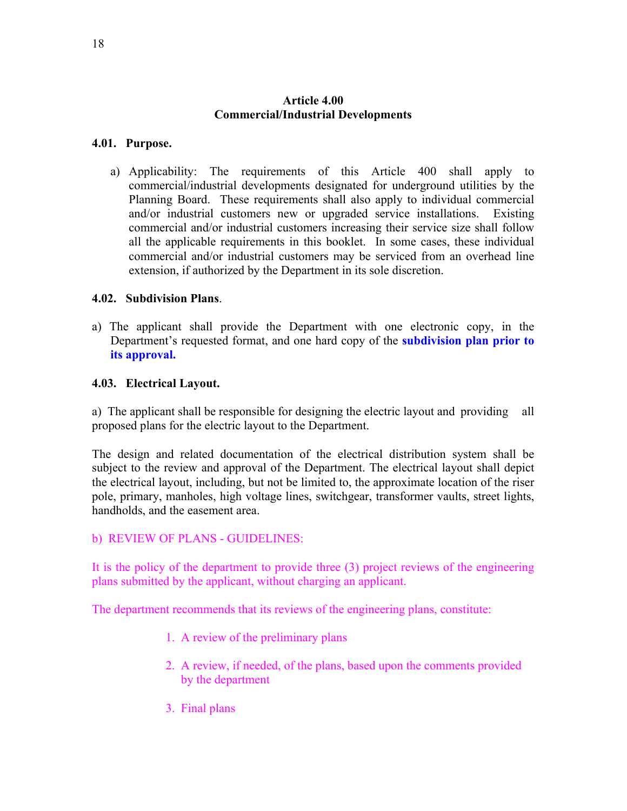## **Article 4.00 Commercial/Industrial Developments**

#### **4.01. Purpose.**

a) Applicability: The requirements of this Article 400 shall apply to commercial/industrial developments designated for underground utilities by the Planning Board. These requirements shall also apply to individual commercial and/or industrial customers new or upgraded service installations. Existing commercial and/or industrial customers increasing their service size shall follow all the applicable requirements in this booklet. In some cases, these individual commercial and/or industrial customers may be serviced from an overhead line extension, if authorized by the Department in its sole discretion.

#### **4.02. Subdivision Plans**.

a) The applicant shall provide the Department with one electronic copy, in the Department's requested format, and one hard copy of the **subdivision plan prior to its approval.**

#### **4.03. Electrical Layout.**

a) The applicant shall be responsible for designing the electric layout and providing all proposed plans for the electric layout to the Department.

The design and related documentation of the electrical distribution system shall be subject to the review and approval of the Department. The electrical layout shall depict the electrical layout, including, but not be limited to, the approximate location of the riser pole, primary, manholes, high voltage lines, switchgear, transformer vaults, street lights, handholds, and the easement area.

#### b) REVIEW OF PLANS - GUIDELINES:

It is the policy of the department to provide three (3) project reviews of the engineering plans submitted by the applicant, without charging an applicant.

The department recommends that its reviews of the engineering plans, constitute:

- 1. A review of the preliminary plans
- 2. A review, if needed, of the plans, based upon the comments provided by the department
- 3. Final plans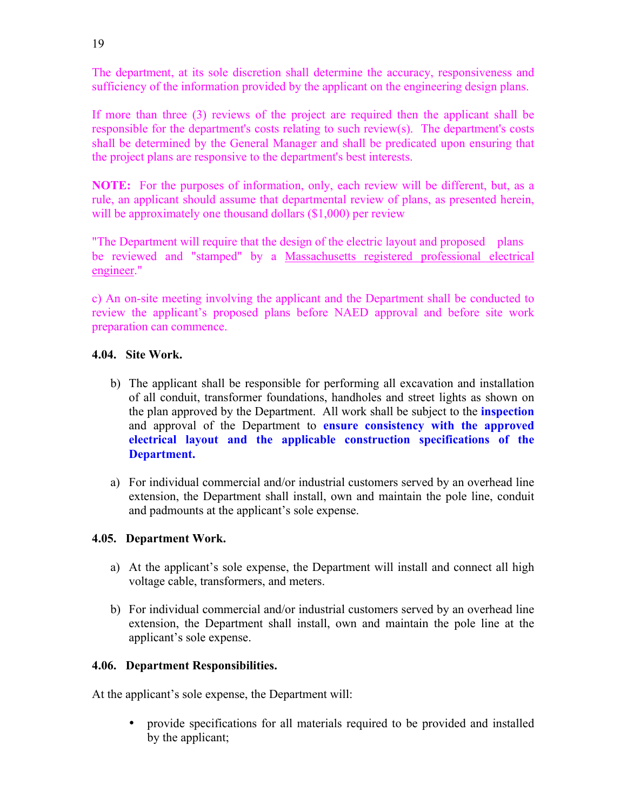The department, at its sole discretion shall determine the accuracy, responsiveness and sufficiency of the information provided by the applicant on the engineering design plans.

If more than three (3) reviews of the project are required then the applicant shall be responsible for the department's costs relating to such review(s). The department's costs shall be determined by the General Manager and shall be predicated upon ensuring that the project plans are responsive to the department's best interests.

**NOTE:** For the purposes of information, only, each review will be different, but, as a rule, an applicant should assume that departmental review of plans, as presented herein, will be approximately one thousand dollars (\$1,000) per review

"The Department will require that the design of the electric layout and proposed plans be reviewed and "stamped" by a Massachusetts registered professional electrical engineer."

c) An on-site meeting involving the applicant and the Department shall be conducted to review the applicant's proposed plans before NAED approval and before site work preparation can commence.

## **4.04. Site Work.**

- b) The applicant shall be responsible for performing all excavation and installation of all conduit, transformer foundations, handholes and street lights as shown on the plan approved by the Department. All work shall be subject to the **inspection**  and approval of the Department to **ensure consistency with the approved electrical layout and the applicable construction specifications of the Department.**
- a) For individual commercial and/or industrial customers served by an overhead line extension, the Department shall install, own and maintain the pole line, conduit and padmounts at the applicant's sole expense.

## **4.05. Department Work.**

- a) At the applicant's sole expense, the Department will install and connect all high voltage cable, transformers, and meters.
- b) For individual commercial and/or industrial customers served by an overhead line extension, the Department shall install, own and maintain the pole line at the applicant's sole expense.

## **4.06. Department Responsibilities.**

At the applicant's sole expense, the Department will:

• provide specifications for all materials required to be provided and installed by the applicant;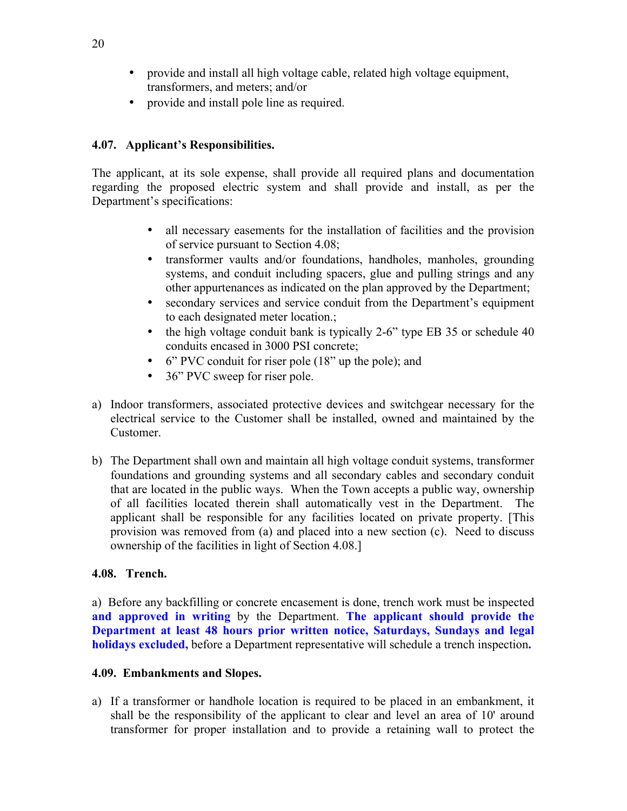- provide and install all high voltage cable, related high voltage equipment, transformers, and meters; and/or
- provide and install pole line as required.

## **4.07. Applicant's Responsibilities.**

The applicant, at its sole expense, shall provide all required plans and documentation regarding the proposed electric system and shall provide and install, as per the Department's specifications:

- all necessary easements for the installation of facilities and the provision of service pursuant to Section 4.08;
- transformer vaults and/or foundations, handholes, manholes, grounding systems, and conduit including spacers, glue and pulling strings and any other appurtenances as indicated on the plan approved by the Department;
- secondary services and service conduit from the Department's equipment to each designated meter location.;
- the high voltage conduit bank is typically 2-6" type EB 35 or schedule 40 conduits encased in 3000 PSI concrete;
- 6" PVC conduit for riser pole (18" up the pole); and
- 36" PVC sweep for riser pole.
- a) Indoor transformers, associated protective devices and switchgear necessary for the electrical service to the Customer shall be installed, owned and maintained by the Customer.
- b) The Department shall own and maintain all high voltage conduit systems, transformer foundations and grounding systems and all secondary cables and secondary conduit that are located in the public ways. When the Town accepts a public way, ownership of all facilities located therein shall automatically vest in the Department. The applicant shall be responsible for any facilities located on private property. [This provision was removed from (a) and placed into a new section (c). Need to discuss ownership of the facilities in light of Section 4.08.]

## **4.08. Trench.**

a) Before any backfilling or concrete encasement is done, trench work must be inspected **and approved in writing** by the Department. **The applicant should provide the Department at least 48 hours prior written notice, Saturdays, Sundays and legal holidays excluded,** before a Department representative will schedule a trench inspection**.** 

## **4.09. Embankments and Slopes.**

a) If a transformer or handhole location is required to be placed in an embankment, it shall be the responsibility of the applicant to clear and level an area of 10' around transformer for proper installation and to provide a retaining wall to protect the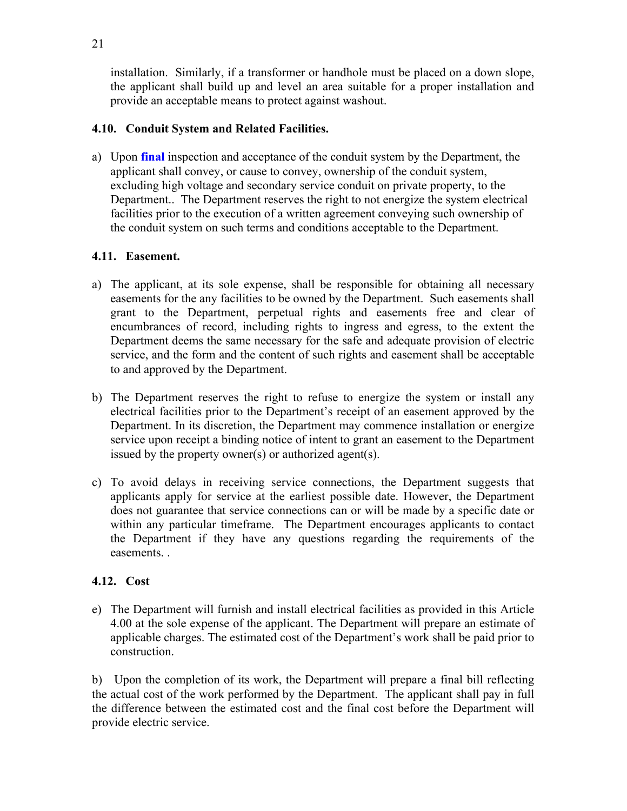installation. Similarly, if a transformer or handhole must be placed on a down slope, the applicant shall build up and level an area suitable for a proper installation and provide an acceptable means to protect against washout.

## **4.10. Conduit System and Related Facilities.**

a) Upon **final** inspection and acceptance of the conduit system by the Department, the applicant shall convey, or cause to convey, ownership of the conduit system, excluding high voltage and secondary service conduit on private property, to the Department.. The Department reserves the right to not energize the system electrical facilities prior to the execution of a written agreement conveying such ownership of the conduit system on such terms and conditions acceptable to the Department.

## **4.11. Easement.**

- a) The applicant, at its sole expense, shall be responsible for obtaining all necessary easements for the any facilities to be owned by the Department. Such easements shall grant to the Department, perpetual rights and easements free and clear of encumbrances of record, including rights to ingress and egress, to the extent the Department deems the same necessary for the safe and adequate provision of electric service, and the form and the content of such rights and easement shall be acceptable to and approved by the Department.
- b) The Department reserves the right to refuse to energize the system or install any electrical facilities prior to the Department's receipt of an easement approved by the Department. In its discretion, the Department may commence installation or energize service upon receipt a binding notice of intent to grant an easement to the Department issued by the property owner(s) or authorized agent(s).
- c) To avoid delays in receiving service connections, the Department suggests that applicants apply for service at the earliest possible date. However, the Department does not guarantee that service connections can or will be made by a specific date or within any particular timeframe. The Department encourages applicants to contact the Department if they have any questions regarding the requirements of the easements. .

## **4.12. Cost**

e) The Department will furnish and install electrical facilities as provided in this Article 4.00 at the sole expense of the applicant. The Department will prepare an estimate of applicable charges. The estimated cost of the Department's work shall be paid prior to construction.

b) Upon the completion of its work, the Department will prepare a final bill reflecting the actual cost of the work performed by the Department. The applicant shall pay in full the difference between the estimated cost and the final cost before the Department will provide electric service.